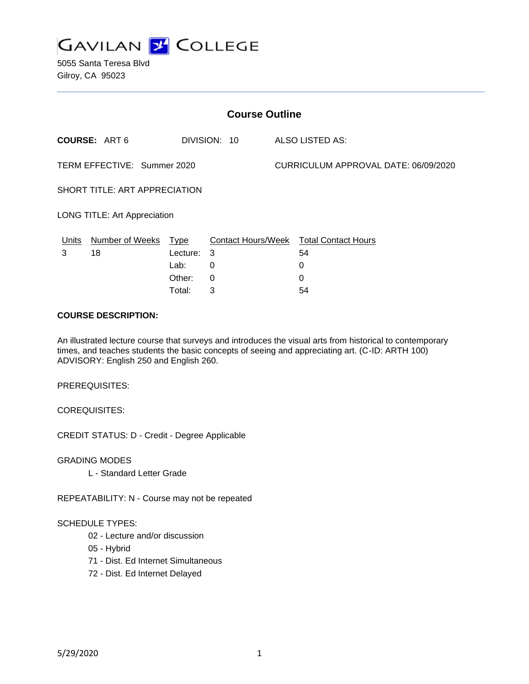

5055 Santa Teresa Blvd Gilroy, CA 95023

| <b>Course Outline</b>               |                      |              |                 |                                      |                                        |
|-------------------------------------|----------------------|--------------|-----------------|--------------------------------------|----------------------------------------|
| <b>COURSE: ART6</b>                 |                      | DIVISION: 10 | ALSO LISTED AS: |                                      |                                        |
| TERM EFFECTIVE: Summer 2020         |                      |              |                 | CURRICULUM APPROVAL DATE: 06/09/2020 |                                        |
| SHORT TITLE: ART APPRECIATION       |                      |              |                 |                                      |                                        |
| <b>LONG TITLE: Art Appreciation</b> |                      |              |                 |                                      |                                        |
| Units                               | Number of Weeks Type |              |                 |                                      | Contact Hours/Week Total Contact Hours |
| 3                                   | 18                   | Lecture:     | 3               |                                      | 54                                     |
|                                     |                      | Lab:         | 0               |                                      | 0                                      |
|                                     |                      | Other:       | $\mathbf{0}$    |                                      | $\Omega$                               |
|                                     |                      | Total:       | 3               |                                      | 54                                     |

#### **COURSE DESCRIPTION:**

An illustrated lecture course that surveys and introduces the visual arts from historical to contemporary times, and teaches students the basic concepts of seeing and appreciating art. (C-ID: ARTH 100) ADVISORY: English 250 and English 260.

PREREQUISITES:

COREQUISITES:

CREDIT STATUS: D - Credit - Degree Applicable

GRADING MODES

L - Standard Letter Grade

REPEATABILITY: N - Course may not be repeated

#### SCHEDULE TYPES:

- 02 Lecture and/or discussion
- 05 Hybrid
- 71 Dist. Ed Internet Simultaneous
- 72 Dist. Ed Internet Delayed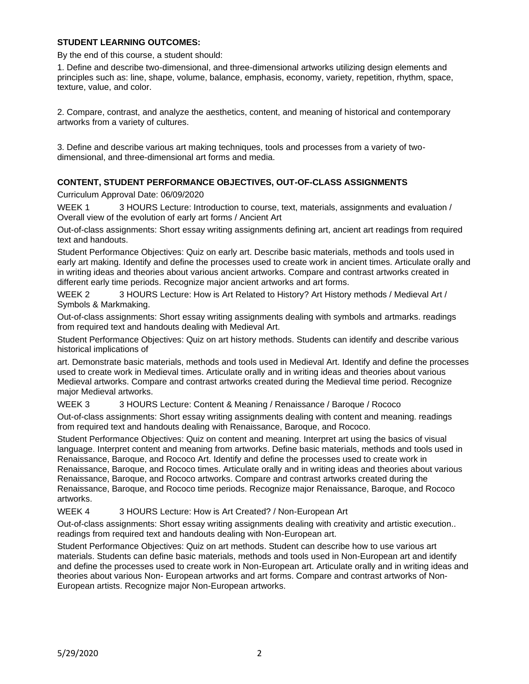### **STUDENT LEARNING OUTCOMES:**

By the end of this course, a student should:

1. Define and describe two-dimensional, and three-dimensional artworks utilizing design elements and principles such as: line, shape, volume, balance, emphasis, economy, variety, repetition, rhythm, space, texture, value, and color.

2. Compare, contrast, and analyze the aesthetics, content, and meaning of historical and contemporary artworks from a variety of cultures.

3. Define and describe various art making techniques, tools and processes from a variety of twodimensional, and three-dimensional art forms and media.

### **CONTENT, STUDENT PERFORMANCE OBJECTIVES, OUT-OF-CLASS ASSIGNMENTS**

Curriculum Approval Date: 06/09/2020

WEEK 1 3 HOURS Lecture: Introduction to course, text, materials, assignments and evaluation / Overall view of the evolution of early art forms / Ancient Art

Out-of-class assignments: Short essay writing assignments defining art, ancient art readings from required text and handouts.

Student Performance Objectives: Quiz on early art. Describe basic materials, methods and tools used in early art making. Identify and define the processes used to create work in ancient times. Articulate orally and in writing ideas and theories about various ancient artworks. Compare and contrast artworks created in different early time periods. Recognize major ancient artworks and art forms.

WEEK 2 3 HOURS Lecture: How is Art Related to History? Art History methods / Medieval Art / Symbols & Markmaking.

Out-of-class assignments: Short essay writing assignments dealing with symbols and artmarks. readings from required text and handouts dealing with Medieval Art.

Student Performance Objectives: Quiz on art history methods. Students can identify and describe various historical implications of

art. Demonstrate basic materials, methods and tools used in Medieval Art. Identify and define the processes used to create work in Medieval times. Articulate orally and in writing ideas and theories about various Medieval artworks. Compare and contrast artworks created during the Medieval time period. Recognize major Medieval artworks.

WEEK 3 3 HOURS Lecture: Content & Meaning / Renaissance / Baroque / Rococo

Out-of-class assignments: Short essay writing assignments dealing with content and meaning. readings from required text and handouts dealing with Renaissance, Baroque, and Rococo.

Student Performance Objectives: Quiz on content and meaning. Interpret art using the basics of visual language. Interpret content and meaning from artworks. Define basic materials, methods and tools used in Renaissance, Baroque, and Rococo Art. Identify and define the processes used to create work in Renaissance, Baroque, and Rococo times. Articulate orally and in writing ideas and theories about various Renaissance, Baroque, and Rococo artworks. Compare and contrast artworks created during the Renaissance, Baroque, and Rococo time periods. Recognize major Renaissance, Baroque, and Rococo artworks.

WEEK 4 3 HOURS Lecture: How is Art Created? / Non-European Art

Out-of-class assignments: Short essay writing assignments dealing with creativity and artistic execution.. readings from required text and handouts dealing with Non-European art.

Student Performance Objectives: Quiz on art methods. Student can describe how to use various art materials. Students can define basic materials, methods and tools used in Non-European art and identify and define the processes used to create work in Non-European art. Articulate orally and in writing ideas and theories about various Non- European artworks and art forms. Compare and contrast artworks of Non-European artists. Recognize major Non-European artworks.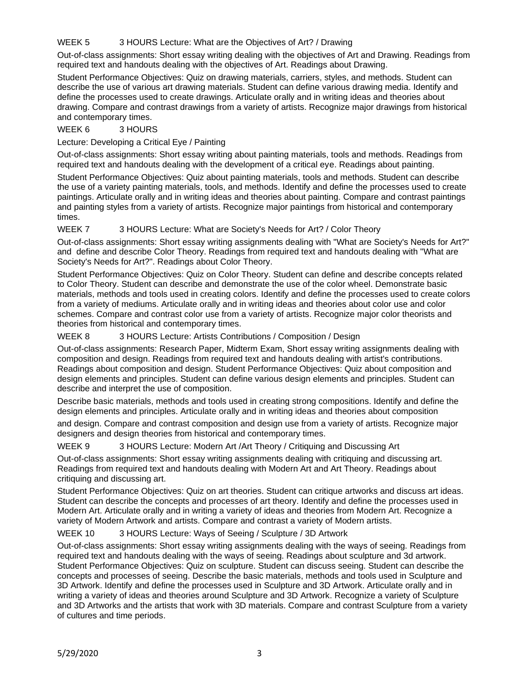# WEEK 5 3 HOURS Lecture: What are the Objectives of Art? / Drawing

Out-of-class assignments: Short essay writing dealing with the objectives of Art and Drawing. Readings from required text and handouts dealing with the objectives of Art. Readings about Drawing.

Student Performance Objectives: Quiz on drawing materials, carriers, styles, and methods. Student can describe the use of various art drawing materials. Student can define various drawing media. Identify and define the processes used to create drawings. Articulate orally and in writing ideas and theories about drawing. Compare and contrast drawings from a variety of artists. Recognize major drawings from historical and contemporary times.

## WEEK 6 3 HOURS

## Lecture: Developing a Critical Eye / Painting

Out-of-class assignments: Short essay writing about painting materials, tools and methods. Readings from required text and handouts dealing with the development of a critical eye. Readings about painting.

Student Performance Objectives: Quiz about painting materials, tools and methods. Student can describe the use of a variety painting materials, tools, and methods. Identify and define the processes used to create paintings. Articulate orally and in writing ideas and theories about painting. Compare and contrast paintings and painting styles from a variety of artists. Recognize major paintings from historical and contemporary times.

## WEEK 7 3 HOURS Lecture: What are Society's Needs for Art? / Color Theory

Out-of-class assignments: Short essay writing assignments dealing with "What are Society's Needs for Art?" and define and describe Color Theory. Readings from required text and handouts dealing with "What are Society's Needs for Art?". Readings about Color Theory.

Student Performance Objectives: Quiz on Color Theory. Student can define and describe concepts related to Color Theory. Student can describe and demonstrate the use of the color wheel. Demonstrate basic materials, methods and tools used in creating colors. Identify and define the processes used to create colors from a variety of mediums. Articulate orally and in writing ideas and theories about color use and color schemes. Compare and contrast color use from a variety of artists. Recognize major color theorists and theories from historical and contemporary times.

## WEEK 8 3 HOURS Lecture: Artists Contributions / Composition / Design

Out-of-class assignments: Research Paper, Midterm Exam, Short essay writing assignments dealing with composition and design. Readings from required text and handouts dealing with artist's contributions. Readings about composition and design. Student Performance Objectives: Quiz about composition and design elements and principles. Student can define various design elements and principles. Student can describe and interpret the use of composition.

Describe basic materials, methods and tools used in creating strong compositions. Identify and define the design elements and principles. Articulate orally and in writing ideas and theories about composition

and design. Compare and contrast composition and design use from a variety of artists. Recognize major designers and design theories from historical and contemporary times.

### WEEK 9 3 HOURS Lecture: Modern Art /Art Theory / Critiquing and Discussing Art

Out-of-class assignments: Short essay writing assignments dealing with critiquing and discussing art. Readings from required text and handouts dealing with Modern Art and Art Theory. Readings about critiquing and discussing art.

Student Performance Objectives: Quiz on art theories. Student can critique artworks and discuss art ideas. Student can describe the concepts and processes of art theory. Identify and define the processes used in Modern Art. Articulate orally and in writing a variety of ideas and theories from Modern Art. Recognize a variety of Modern Artwork and artists. Compare and contrast a variety of Modern artists.

### WEEK 10 3 HOURS Lecture: Ways of Seeing / Sculpture / 3D Artwork

Out-of-class assignments: Short essay writing assignments dealing with the ways of seeing. Readings from required text and handouts dealing with the ways of seeing. Readings about sculpture and 3d artwork. Student Performance Objectives: Quiz on sculpture. Student can discuss seeing. Student can describe the concepts and processes of seeing. Describe the basic materials, methods and tools used in Sculpture and 3D Artwork. Identify and define the processes used in Sculpture and 3D Artwork. Articulate orally and in writing a variety of ideas and theories around Sculpture and 3D Artwork. Recognize a variety of Sculpture and 3D Artworks and the artists that work with 3D materials. Compare and contrast Sculpture from a variety of cultures and time periods.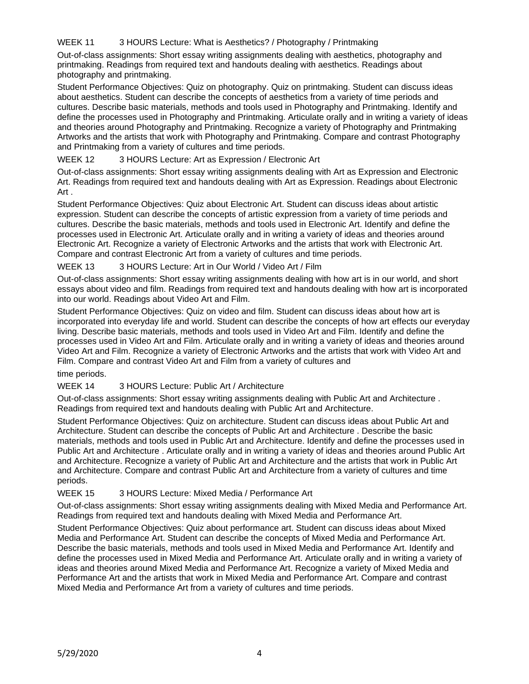# WEEK 11 3 HOURS Lecture: What is Aesthetics? / Photography / Printmaking

Out-of-class assignments: Short essay writing assignments dealing with aesthetics, photography and printmaking. Readings from required text and handouts dealing with aesthetics. Readings about photography and printmaking.

Student Performance Objectives: Quiz on photography. Quiz on printmaking. Student can discuss ideas about aesthetics. Student can describe the concepts of aesthetics from a variety of time periods and cultures. Describe basic materials, methods and tools used in Photography and Printmaking. Identify and define the processes used in Photography and Printmaking. Articulate orally and in writing a variety of ideas and theories around Photography and Printmaking. Recognize a variety of Photography and Printmaking Artworks and the artists that work with Photography and Printmaking. Compare and contrast Photography and Printmaking from a variety of cultures and time periods.

# WEEK 12 3 HOURS Lecture: Art as Expression / Electronic Art

Out-of-class assignments: Short essay writing assignments dealing with Art as Expression and Electronic Art. Readings from required text and handouts dealing with Art as Expression. Readings about Electronic Art .

Student Performance Objectives: Quiz about Electronic Art. Student can discuss ideas about artistic expression. Student can describe the concepts of artistic expression from a variety of time periods and cultures. Describe the basic materials, methods and tools used in Electronic Art. Identify and define the processes used in Electronic Art. Articulate orally and in writing a variety of ideas and theories around Electronic Art. Recognize a variety of Electronic Artworks and the artists that work with Electronic Art. Compare and contrast Electronic Art from a variety of cultures and time periods.

## WEEK 13 3 HOURS Lecture: Art in Our World / Video Art / Film

Out-of-class assignments: Short essay writing assignments dealing with how art is in our world, and short essays about video and film. Readings from required text and handouts dealing with how art is incorporated into our world. Readings about Video Art and Film.

Student Performance Objectives: Quiz on video and film. Student can discuss ideas about how art is incorporated into everyday life and world. Student can describe the concepts of how art effects our everyday living. Describe basic materials, methods and tools used in Video Art and Film. Identify and define the processes used in Video Art and Film. Articulate orally and in writing a variety of ideas and theories around Video Art and Film. Recognize a variety of Electronic Artworks and the artists that work with Video Art and Film. Compare and contrast Video Art and Film from a variety of cultures and

time periods.

### WEEK 14 3 HOURS Lecture: Public Art / Architecture

Out-of-class assignments: Short essay writing assignments dealing with Public Art and Architecture . Readings from required text and handouts dealing with Public Art and Architecture.

Student Performance Objectives: Quiz on architecture. Student can discuss ideas about Public Art and Architecture. Student can describe the concepts of Public Art and Architecture . Describe the basic materials, methods and tools used in Public Art and Architecture. Identify and define the processes used in Public Art and Architecture . Articulate orally and in writing a variety of ideas and theories around Public Art and Architecture. Recognize a variety of Public Art and Architecture and the artists that work in Public Art and Architecture. Compare and contrast Public Art and Architecture from a variety of cultures and time periods.

### WEEK 15 3 HOURS Lecture: Mixed Media / Performance Art

Out-of-class assignments: Short essay writing assignments dealing with Mixed Media and Performance Art. Readings from required text and handouts dealing with Mixed Media and Performance Art.

Student Performance Objectives: Quiz about performance art. Student can discuss ideas about Mixed Media and Performance Art. Student can describe the concepts of Mixed Media and Performance Art. Describe the basic materials, methods and tools used in Mixed Media and Performance Art. Identify and define the processes used in Mixed Media and Performance Art. Articulate orally and in writing a variety of ideas and theories around Mixed Media and Performance Art. Recognize a variety of Mixed Media and Performance Art and the artists that work in Mixed Media and Performance Art. Compare and contrast Mixed Media and Performance Art from a variety of cultures and time periods.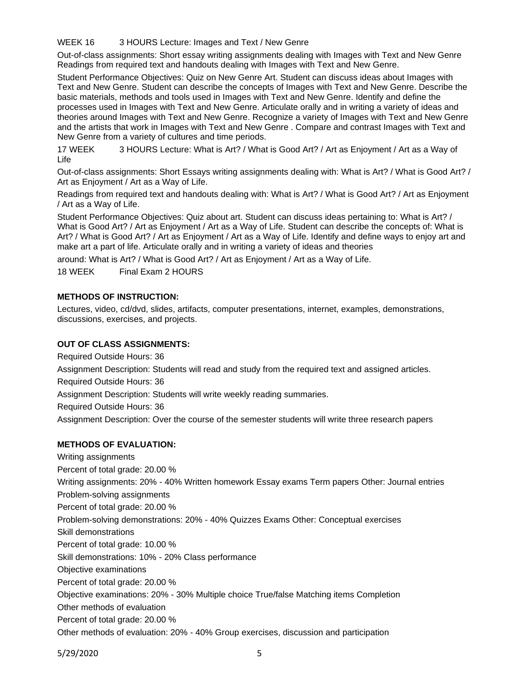WEEK 16 3 HOURS Lecture: Images and Text / New Genre

Out-of-class assignments: Short essay writing assignments dealing with Images with Text and New Genre Readings from required text and handouts dealing with Images with Text and New Genre.

Student Performance Objectives: Quiz on New Genre Art. Student can discuss ideas about Images with Text and New Genre. Student can describe the concepts of Images with Text and New Genre. Describe the basic materials, methods and tools used in Images with Text and New Genre. Identify and define the processes used in Images with Text and New Genre. Articulate orally and in writing a variety of ideas and theories around Images with Text and New Genre. Recognize a variety of Images with Text and New Genre and the artists that work in Images with Text and New Genre . Compare and contrast Images with Text and New Genre from a variety of cultures and time periods.

17 WEEK 3 HOURS Lecture: What is Art? / What is Good Art? / Art as Enjoyment / Art as a Way of Life

Out-of-class assignments: Short Essays writing assignments dealing with: What is Art? / What is Good Art? / Art as Enjoyment / Art as a Way of Life.

Readings from required text and handouts dealing with: What is Art? / What is Good Art? / Art as Enjoyment / Art as a Way of Life.

Student Performance Objectives: Quiz about art. Student can discuss ideas pertaining to: What is Art? / What is Good Art? / Art as Enjoyment / Art as a Way of Life. Student can describe the concepts of: What is Art? / What is Good Art? / Art as Enjoyment / Art as a Way of Life. Identify and define ways to enjoy art and make art a part of life. Articulate orally and in writing a variety of ideas and theories

around: What is Art? / What is Good Art? / Art as Enjoyment / Art as a Way of Life.

18 WEEK Final Exam 2 HOURS

### **METHODS OF INSTRUCTION:**

Lectures, video, cd/dvd, slides, artifacts, computer presentations, internet, examples, demonstrations, discussions, exercises, and projects.

### **OUT OF CLASS ASSIGNMENTS:**

Required Outside Hours: 36

Assignment Description: Students will read and study from the required text and assigned articles. Required Outside Hours: 36 Assignment Description: Students will write weekly reading summaries.

Required Outside Hours: 36

Assignment Description: Over the course of the semester students will write three research papers

### **METHODS OF EVALUATION:**

Writing assignments Percent of total grade: 20.00 % Writing assignments: 20% - 40% Written homework Essay exams Term papers Other: Journal entries Problem-solving assignments Percent of total grade: 20.00 % Problem-solving demonstrations: 20% - 40% Quizzes Exams Other: Conceptual exercises Skill demonstrations Percent of total grade: 10.00 % Skill demonstrations: 10% - 20% Class performance Objective examinations Percent of total grade: 20.00 % Objective examinations: 20% - 30% Multiple choice True/false Matching items Completion Other methods of evaluation Percent of total grade: 20.00 %

Other methods of evaluation: 20% - 40% Group exercises, discussion and participation

5/29/2020 5